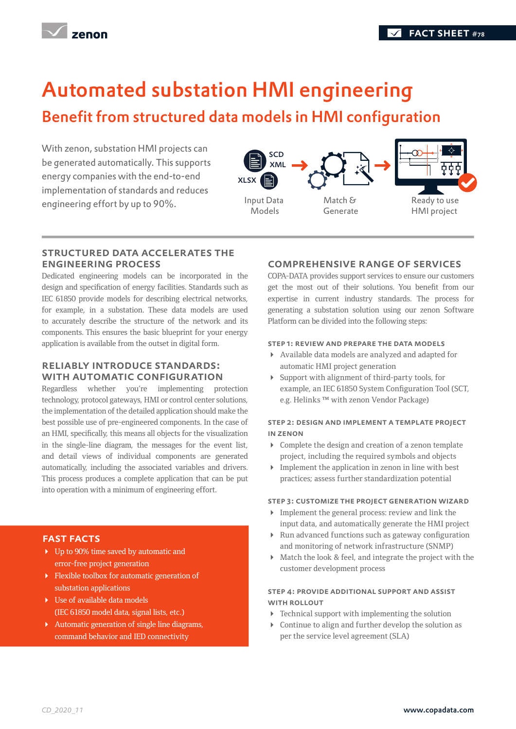

# Automated substation HMI engineering

# Benefit from structured data models in HMI configuration

With zenon, substation HMI projects can be generated automatically. This supports energy companies with the end-to-end implementation of standards and reduces engineering effort by up to 90%.



#### STRUCTURED DATA ACCELERATES THE ENGINEERING PROCESS

Dedicated engineering models can be incorporated in the design and specification of energy facilities. Standards such as IEC 61850 provide models for describing electrical networks, for example, in a substation. These data models are used to accurately describe the structure of the network and its components. This ensures the basic blueprint for your energy application is available from the outset in digital form.

### Reliably introduce standards: WITH AUTOMATIC CONFIGURATION

Regardless whether you're implementing protection technology, protocol gateways, HMI or control center solutions, the implementation of the detailed application should make the best possible use of pre-engineered components. In the case of an HMI, specifically, this means all objects for the visualization in the single-line diagram, the messages for the event list, and detail views of individual components are generated automatically, including the associated variables and drivers. This process produces a complete application that can be put into operation with a minimum of engineering effort.

## fast facts

- Up to 90% time saved by automatic and error-free project generation
- Flexible toolbox for automatic generation of substation applications
- Use of available data models (IEC 61850 model data, signal lists, etc.)
- Automatic generation of single line diagrams, command behavior and IED connectivity

### Comprehensive range of services

COPA-DATA provides support services to ensure our customers get the most out of their solutions. You benefit from our expertise in current industry standards. The process for generating a substation solution using our zenon Software Platform can be divided into the following steps:

#### Step 1: Review and prepare the data models

- Available data models are analyzed and adapted for automatic HMI project generation
- Support with alignment of third-party tools, for example, an IEC 61850 System Configuration Tool (SCT, e.g. Helinks ™ with zenon Vendor Package)

#### Step 2: Design and implement a template project in zenon

- Complete the design and creation of a zenon template project, including the required symbols and objects
- Implement the application in zenon in line with best practices; assess further standardization potential

#### Step 3: Customize the project generation wizard

- $\triangleright$  Implement the general process: review and link the input data, and automatically generate the HMI project
- Run advanced functions such as gateway configuration and monitoring of network infrastructure (SNMP)
- Match the look & feel, and integrate the project with the customer development process

#### Step 4: Provide additional support and assist WITH ROLLOUT

- $\blacktriangleright$  Technical support with implementing the solution
- Continue to align and further develop the solution as per the service level agreement (SLA)